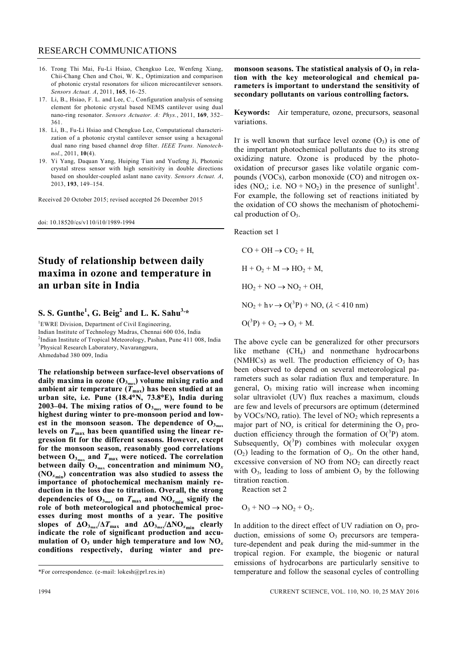- 16. Trong Thi Mai, Fu-Li Hsiao, Chengkuo Lee, Wenfeng Xiang, Chii-Chang Chen and Choi, W. K., Optimization and comparison of photonic crystal resonators for silicon microcantilever sensors. *Sensors Actuat. A*, 2011, **165**, 16–25.
- 17. Li, B., Hsiao, F. L. and Lee, C., Configuration analysis of sensing element for photonic crystal based NEMS cantilever using dual nano-ring resonator. *Sensors Actuator. A: Phys.*, 2011, **169**, 352– 361.
- 18. Li, B., Fu-Li Hsiao and Chengkuo Lee, Computational characterization of a photonic crystal cantilever sensor using a hexagonal dual nano ring based channel drop filter. *IEEE Trans. Nanotechnol*., 2011, **10**(4).
- 19. Yi Yang, Daquan Yang, Huiping Tian and Yuefeng Ji, Photonic crystal stress sensor with high sensitivity in double directions based on shoulder-coupled aslant nano cavity. *Sensors Actuat. A*, 2013, **193**, 149–154.

Received 20 October 2015; revised accepted 26 December 2015

doi: 10.18520/cs/v110/i10/1989-1994

# **Study of relationship between daily maxima in ozone and temperature in an urban site in India**

## **S. S. Gunthe<sup>1</sup> , G. Beig<sup>2</sup> and L. K. Sahu3,\***

<sup>1</sup>EWRE Division, Department of Civil Engineering, Indian Institute of Technology Madras, Chennai 600 036, India <sup>2</sup>Indian Institute of Tropical Meteorology, Pashan, Pune 411 008, India 3 Physical Research Laboratory, Navarangpura,

Ahmedabad 380 009, India

**The relationship between surface-level observations of daily maxima in ozone (O<sup>3</sup>max ) volume mixing ratio and**  ambient air temperature  $(T_{\text{max}})$  has been studied at an **urban site, i.e. Pune (18.4N, 73.8E), India during 2003–04. The mixing ratios of O<sup>3</sup>max were found to be highest during winter to pre-monsoon period and lowest in the monsoon season. The dependence of O<sup>3</sup>max levels on** *T***max has been quantified using the linear regression fit for the different seasons. However, except for the monsoon season, reasonably good correlations between O<sup>3</sup>max and** *T***max were noticed. The correlation between daily O<sup>3</sup>max concentration and minimum NO***<sup>x</sup>* **(NO***<sup>x</sup>***min) concentration was also studied to assess the importance of photochemical mechanism mainly reduction in the loss due to titration. Overall, the strong**  dependencies of  $O_{3_{max}}$  on  $T_{max}$  and  $NO_{x_{min}}$  signify the **role of both meteorological and photochemical processes during most months of a year. The positive**  slopes of  $\Delta O_{3_{max}}/\Delta T_{max}$  and  $\Delta O_{3_{max}}/\Delta NO_{x_{min}}$  clearly **indicate the role of significant production and accu**mulation of  $O_3$  under high temperature and low  $NO_x$ **conditions respectively, during winter and pre-**

**monsoon seasons. The statistical analysis of O3 in relation with the key meteorological and chemical parameters is important to understand the sensitivity of secondary pollutants on various controlling factors.**

**Keywords:** Air temperature, ozone, precursors, seasonal variations.

IT is well known that surface level ozone  $(O_3)$  is one of the important photochemical pollutants due to its strong oxidizing nature. Ozone is produced by the photooxidation of precursor gases like volatile organic compounds (VOCs), carbon monoxide (CO) and nitrogen oxides  $(NO_x; i.e. NO + NO_2)$  in the presence of sunlight<sup>1</sup>. For example, the following set of reactions initiated by the oxidation of CO shows the mechanism of photochemical production of  $O_3$ .

Reaction set 1

 $CO + OH \rightarrow CO_2 + H$ ,  $H + O_2 + M \rightarrow HO_2 + M$ ,  $HO_2 + NO \rightarrow NO_2 + OH$ ,  $NO<sub>2</sub> + h\nu \rightarrow O(^{3}P) + NO, (\lambda < 410 \text{ nm})$  $O(^3P) + O_2 \rightarrow O_3 + M$ .

The above cycle can be generalized for other precursors like methane (CH<sub>4</sub>) and nonmethane hydrocarbons (NMHCs) as well. The production efficiency of  $O_3$  has been observed to depend on several meteorological parameters such as solar radiation flux and temperature. In general,  $O_3$  mixing ratio will increase when incoming solar ultraviolet (UV) flux reaches a maximum, clouds are few and levels of precursors are optimum (determined by VOCs/NO<sub>x</sub> ratio). The level of NO<sub>2</sub> which represents a major part of  $NO<sub>x</sub>$  is critical for determining the  $O<sub>3</sub>$  production efficiency through the formation of  $O(^3P)$  atom. Subsequently,  $O(^3P)$  combines with molecular oxygen  $(O<sub>2</sub>)$  leading to the formation of  $O<sub>3</sub>$ . On the other hand, excessive conversion of NO from  $NO<sub>2</sub>$  can directly react with  $O_3$ , leading to loss of ambient  $O_3$  by the following titration reaction.

Reaction set 2

$$
O_3 + NO \rightarrow NO_2 + O_2.
$$

In addition to the direct effect of UV radiation on  $O_3$  production, emissions of some  $O<sub>3</sub>$  precursors are temperature-dependent and peak during the mid-summer in the tropical region. For example, the biogenic or natural emissions of hydrocarbons are particularly sensitive to temperature and follow the seasonal cycles of controlling

<sup>\*</sup>For correspondence. (e-mail: lokesh@prl.res.in)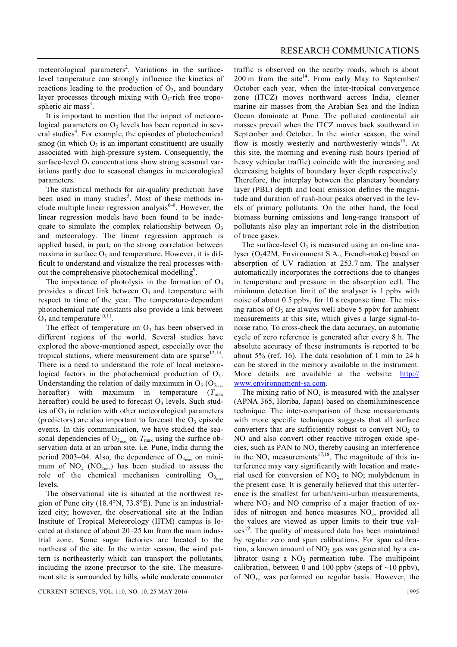meteorological parameters<sup>2</sup>. Variations in the surfacelevel temperature can strongly influence the kinetics of reactions leading to the production of  $O_3$ , and boundary layer processes through mixing with  $O_3$ -rich free tropospheric air mass<sup>3</sup>.

It is important to mention that the impact of meteorological parameters on  $O_3$  levels has been reported in several studies<sup>4</sup>. For example, the episodes of photochemical smog (in which  $O_3$  is an important constituent) are usually associated with high-pressure system. Consequently, the surface-level  $O_3$  concentrations show strong seasonal variations partly due to seasonal changes in meteorological parameters.

The statistical methods for air-quality prediction have been used in many studies<sup>5</sup>. Most of these methods include multiple linear regression analysis<sup>6-8</sup>. However, the linear regression models have been found to be inadequate to simulate the complex relationship between  $O_3$ and meteorology. The linear regression approach is applied based, in part, on the strong correlation between maxima in surface  $O_3$  and temperature. However, it is difficult to understand and visualize the real processes without the comprehensive photochemical modelling<sup>9</sup>.

The importance of photolysis in the formation of  $O_3$ provides a direct link between  $O_3$  and temperature with respect to time of the year. The temperature-dependent photochemical rate constants also provide a link between  $O_3$  and temperature<sup>10,11</sup>.

The effect of temperature on  $O_3$  has been observed in different regions of the world. Several studies have explored the above-mentioned aspect, especially over the tropical stations, where measurement data are sparse $12,13$ . There is a need to understand the role of local meteorological factors in the photochemical production of  $O_3$ . Understanding the relation of daily maximum in  $O_3$  ( $O_{3<sub>max</sub>}$ ) hereafter) with maximum in temperature  $(T_{\text{max}})$ hereafter) could be used to forecast  $O_3$  levels. Such studies of  $O_3$  in relation with other meteorological parameters (predictors) are also important to forecast the  $O_3$  episode events. In this communication, we have studied the seasonal dependencies of  $O_{3_{\text{max}}}$  on  $T_{\text{max}}$  using the surface observation data at an urban site, i.e. Pune, India during the period 2003–04. Also, the dependence of  $O_{3_{\text{max}}}$  on minimum of  $NO_x$  ( $NO_{x_{min}}$ ) has been studied to assess the role of the chemical mechanism controlling  $O_{3<sub>max</sub>}$ levels.

The observational site is situated at the northwest region of Pune city  $(18.4^{\circ}N, 73.8^{\circ}E)$ . Pune is an industrialized city; however, the observational site at the Indian Institute of Tropical Meteorology (IITM) campus is located at distance of about 20–25 km from the main industrial zone. Some sugar factories are located to the northeast of the site. In the winter season, the wind pattern is northeasterly which can transport the pollutants, including the ozone precursor to the site. The measurement site is surrounded by hills, while moderate commuter

traffic is observed on the nearby roads, which is about  $200 \text{ m}$  from the site<sup>14</sup>. From early May to September/ October each year, when the inter-tropical convergence zone (ITCZ) moves northward across India, cleaner marine air masses from the Arabian Sea and the Indian Ocean dominate at Pune. The polluted continental air masses prevail when the ITCZ moves back southward in September and October. In the winter season, the wind flow is mostly westerly and northwesterly winds<sup>15</sup>. At this site, the morning and evening rush hours (period of heavy vehicular traffic) coincide with the increasing and decreasing heights of boundary layer depth respectively. Therefore, the interplay between the planetary boundary layer (PBL) depth and local emission defines the magnitude and duration of rush-hour peaks observed in the levels of primary pollutants. On the other hand, the local biomass burning emissions and long-range transport of pollutants also play an important role in the distribution of trace gases.

The surface-level  $O_3$  is measured using an on-line analyser  $(O_342M,$  Environment S.A., French-make) based on absorption of UV radiation at 253.7 nm. The analyser automatically incorporates the corrections due to changes in temperature and pressure in the absorption cell. The minimum detection limit of the analyser is 1 ppby with noise of about 0.5 ppbv, for 10 s response time. The mixing ratios of  $O_3$  are always well above 5 ppby for ambient measurements at this site, which gives a large signal-tonoise ratio. To cross-check the data accuracy, an automatic cycle of zero reference is generated after every 8 h. The absolute accuracy of these instruments is reported to be about 5% (ref. 16). The data resolution of 1 min to 24 h can be stored in the memory available in the instrument. More details are available at the website: http:// www.environnement-sa.com.

The mixing ratio of  $NO<sub>x</sub>$  is measured with the analyser (APNA 365, Horiba, Japan) based on chemiluminescence technique. The inter-comparison of these measurements with more specific techniques suggests that all surface converters that are sufficiently robust to convert  $NO<sub>2</sub>$  to NO and also convert other reactive nitrogen oxide species, such as PAN to NO, thereby causing an interference in the  $NO_x$  measurements<sup>17,18</sup>. The magnitude of this interference may vary significantly with location and material used for conversion of  $NO<sub>2</sub>$  to  $NO<sub>2</sub>$  molybdenum in the present case. It is generally believed that this interference is the smallest for urban/semi-urban measurements, where  $NO<sub>2</sub>$  and  $NO<sub>2</sub>$  comprise of a major fraction of oxides of nitrogen and hence measures NO*<sup>x</sup>* , provided all the values are viewed as upper limits to their true values<sup>19</sup>. The quality of measured data has been maintained by regular zero and span calibrations. For span calibration, a known amount of  $NO<sub>2</sub>$  gas was generated by a calibrator using a  $NO<sub>2</sub>$  permeation tube. The multipoint calibration, between 0 and 100 ppbv (steps of  $\sim$ 10 ppbv), of NO*<sup>x</sup>* , was performed on regular basis. However, the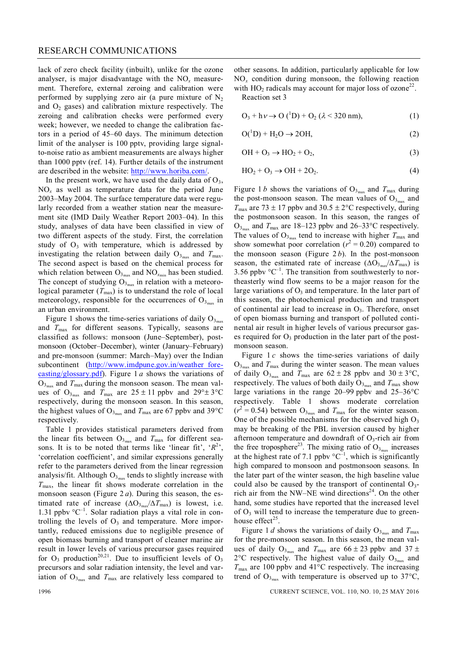#### RESEARCH COMMUNICATIONS

lack of zero check facility (inbuilt), unlike for the ozone analyser, is major disadvantage with the NO*<sup>x</sup>* measurement. Therefore, external zeroing and calibration were performed by supplying zero air (a pure mixture of  $N_2$ ) and  $O<sub>2</sub>$  gases) and calibration mixture respectively. The zeroing and calibration checks were performed every week; however, we needed to change the calibration factors in a period of 45–60 days. The minimum detection limit of the analyser is 100 pptv, providing large signalto-noise ratio as ambient measurements are always higher than 1000 pptv (ref. 14). Further details of the instrument are described in the website: http://www.horiba.com/.

In the present work, we have used the daily data of  $O_3$ ,  $NO<sub>x</sub>$  as well as temperature data for the period June 2003–May 2004. The surface temperature data were regularly recorded from a weather station near the measurement site (IMD Daily Weather Report 2003–04). In this study, analyses of data have been classified in view of two different aspects of the study. First, the correlation study of  $O_3$  with temperature, which is addressed by investigating the relation between daily  $O_{3_{\text{max}}}$  and  $T_{\text{max}}$ . The second aspect is based on the chemical process for which relation between  $O_{3_{\text{max}}}$  and  $NO_{x_{\text{min}}}$  has been studied. The concept of studying  $O_{3<sub>max</sub>}$  in relation with a meteorological parameter  $(T<sub>max</sub>)$  is to understand the role of local meteorology, responsible for the occurrences of  $O_{3_{\text{max}}}$  in an urban environment.

Figure 1 shows the time-series variations of daily  $O_{3<sub>max</sub>}$ and  $T_{\text{max}}$  for different seasons. Typically, seasons are classified as follows: monsoon (June–September), postmonsoon (October–December), winter (January–February) and pre-monsoon (summer: March–May) over the Indian subcontinent (http://www.imdpune.gov.in/weather forecasting/glossary.pdf). Figure 1 *a* shows the variations of  $O_{3_{\text{max}}}$  and  $T_{\text{max}}$  during the monsoon season. The mean values of  $O_{3_{\text{max}}}$  and  $T_{\text{max}}$  are  $25 \pm 11$  ppbv and  $29^{\circ} \pm 3^{\circ} \text{C}$ respectively, during the monsoon season. In this season, the highest values of  $O_{3_{\text{max}}}$  and  $T_{\text{max}}$  are 67 ppbv and 39°C respectively.

Table 1 provides statistical parameters derived from the linear fits between  $O_{3_{\text{max}}}$  and  $T_{\text{max}}$  for different seasons. It is to be noted that terms like 'linear fit',  $\langle R^2 \rangle$ , 'correlation coefficient', and similar expressions generally refer to the parameters derived from the linear regression analysis/fit. Although  $O_{3_{\text{max}}}$  tends to slightly increase with  $T_{\text{max}}$ , the linear fit shows moderate correlation in the monsoon season (Figure 2 *a*). During this season, the estimated rate of increase  $(\Delta O_{3_{\text{max}}}/\Delta T_{\text{max}})$  is lowest, i.e. 1.31 ppbv  $\mathrm{C}^{-1}$ . Solar radiation plays a vital role in controlling the levels of  $O_3$  and temperature. More importantly, reduced emissions due to negligible presence of open biomass burning and transport of cleaner marine air result in lower levels of various precursor gases required for  $O_3$  production<sup>20,21</sup>. Due to insufficient levels of  $O_3$ precursors and solar radiation intensity, the level and variation of  $O_{3_{\text{max}}}$  and  $T_{\text{max}}$  are relatively less compared to other seasons. In addition, particularly applicable for low  $NO<sub>x</sub>$  condition during monsoon, the following reaction with  $HO_2$  radicals may account for major loss of ozone<sup>22</sup>.

Reaction set 3

 $O_3 + h\nu \rightarrow O(^1D) + O_2 (\lambda < 320 \text{ nm}),$  (1)

$$
O(^{1}D) + H_{2}O \rightarrow 2OH,
$$
 (2)

$$
\mathrm{OH} + \mathrm{O}_3 \rightarrow \mathrm{HO}_2 + \mathrm{O}_2,\tag{3}
$$

$$
HO_2 + O_3 \rightarrow OH + 2O_2. \tag{4}
$$

Figure 1*b* shows the variations of  $O_{3_{\text{max}}}$  and  $T_{\text{max}}$  during the post-monsoon season. The mean values of  $O_{3_{max}}$  and  $T_{\text{max}}$  are 73  $\pm$  17 ppbv and 30.5  $\pm$  2°C respectively, during the postmonsoon season. In this season, the ranges of  $O_{3_{\text{max}}}$  and  $T_{\text{max}}$  are 18–123 ppbv and 26–33°C respectively. The values of  $O_{3_{\text{max}}}$  tend to increase with higher  $T_{\text{max}}$  and show somewhat poor correlation ( $r^2 = 0.20$ ) compared to the monsoon season (Figure  $2 b$ ). In the post-monsoon season, the estimated rate of increase  $(\Delta O_{3_{\text{max}}} / \Delta T_{\text{max}})$  is 3.56 ppbv  $\mathrm{C}^{-1}$ . The transition from southwesterly to northeasterly wind flow seems to be a major reason for the large variations of  $O_3$  and temperature. In the later part of this season, the photochemical production and transport of continental air lead to increase in  $O_3$ . Therefore, onset of open biomass burning and transport of polluted continental air result in higher levels of various precursor gases required for  $O_3$  production in the later part of the postmonsoon season.

Figure 1 *c* shows the time-series variations of daily  $O_{3_{\text{max}}}$  and  $T_{\text{max}}$  during the winter season. The mean values of daily  $O_{3_{\text{max}}}$  and  $T_{\text{max}}$  are  $62 \pm 28$  ppbv and  $30 \pm 3^{\circ}\text{C}$ , respectively. The values of both daily O<sub>3<sub>max</sub> and  $T_{\text{max}}$  show</sub> large variations in the range 20–99 ppby and  $25-36^{\circ}$ C respectively. Table 1 shows moderate correlation  $(r^2 = 0.54)$  between  $O_{3_{\text{max}}}$  and  $T_{\text{max}}$  for the winter season. One of the possible mechanisms for the observed high  $O_3$ may be breaking of the PBL inversion caused by higher afternoon temperature and downdraft of  $O_3$ -rich air from the free troposphere<sup>23</sup>. The mixing ratio of  $O_{3_{\text{max}}}$  increases at the highest rate of 7.1 ppbv  $\mathrm{C}^{-1}$ , which is significantly high compared to monsoon and postmonsoon seasons. In the later part of the winter season, the high baseline value could also be caused by the transport of continental  $O_3$ rich air from the NW–NE wind directions<sup>24</sup>. On the other hand, some studies have reported that the increased level of  $O_3$  will tend to increase the temperature due to greenhouse effect<sup>25</sup>.

Figure 1 *d* shows the variations of daily  $O_{3_{\text{max}}}$  and  $T_{\text{max}}$ for the pre-monsoon season. In this season, the mean values of daily  $O_{3_{\text{max}}}$  and  $T_{\text{max}}$  are  $66 \pm 23$  ppbv and  $37 \pm 1$  $2^{\circ}$ C respectively. The highest value of daily  $O_{3_{\text{max}}}$  and  $T_{\text{max}}$  are 100 ppbv and 41°C respectively. The increasing trend of  $O_{3_{\text{max}}}$  with temperature is observed up to 37°C,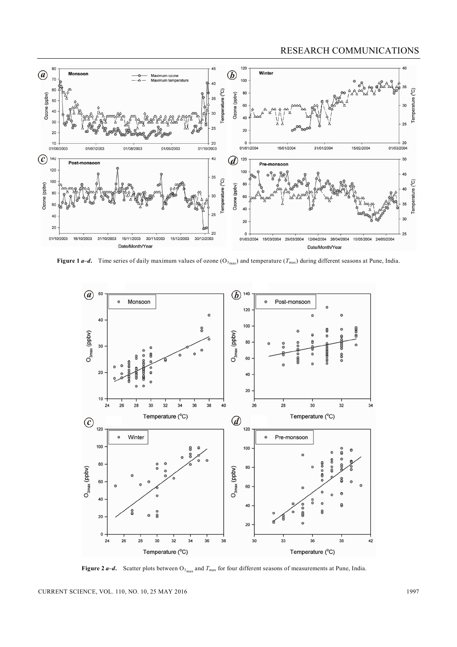### RESEARCH COMMUNICATIONS



**Figure 1** *a***–***d***.** Time series of daily maximum values of ozone ( $O_{3_{max}}$ ) and temperature ( $T_{max}$ ) during different seasons at Pune, India.



**Figure 2** *a***–***d***.** Scatter plots between  $O_{3_{max}}$  and  $T_{max}$  for four different seasons of measurements at Pune, India.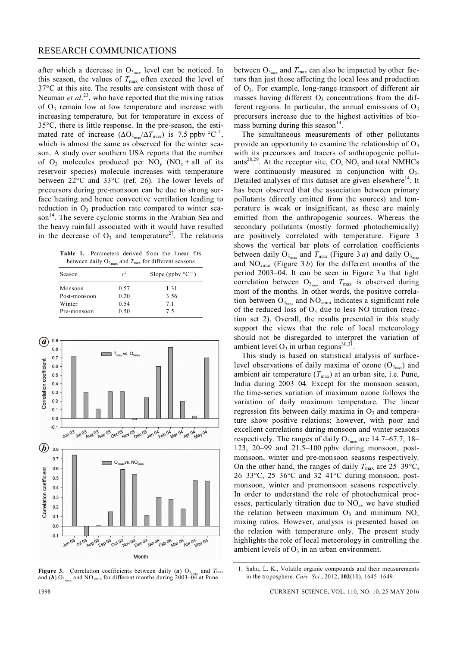after which a decrease in  $O_{3_{\text{max}}}$  level can be noticed. In this season, the values of  $T_{\text{max}}$  often exceed the level of 37°C at this site. The results are consistent with those of Neuman *et al.*<sup>23</sup>, who have reported that the mixing ratios of  $O_3$  remain low at low temperature and increase with increasing temperature, but for temperature in excess of  $35^{\circ}$ C, there is little response. In the pre-season, the estimated rate of increase  $(\Delta O_{3_{max}}/\Delta T_{max})$  is 7.5 ppbv °C<sup>-1</sup>, which is almost the same as observed for the winter season. A study over southern USA reports that the number of  $O_3$  molecules produced per  $NO_y$  ( $NO_x + all$  of its reservoir species) molecule increases with temperature between  $22^{\circ}$ C and  $33^{\circ}$ C (ref. 26). The lower levels of precursors during pre-monsoon can be due to strong surface heating and hence convective ventilation leading to reduction in  $O_3$  production rate compared to winter season<sup>14</sup>. The severe cyclonic storms in the Arabian Sea and the heavy rainfall associated with it would have resulted in the decrease of  $O_3$  and temperature<sup>27</sup>. The relations

**Table 1.** Parameters derived from the linear fits between daily  $O_{3_{\text{max}}}$  and  $T_{\text{max}}$  for different seasons

| Season       | $r^2$ | Slope (ppby $^{\circ}C^{-1}$ ) |
|--------------|-------|--------------------------------|
| Monsoon      | 0.57  | 1.31                           |
| Post-monsoon | 0.20  | 3.56                           |
| Winter       | 0.54  | 7.1                            |
| Pre-monsoon  | 0.50  | 75                             |



**Figure 3.** Correlation coefficients between daily  $(a)$   $O_3$ . and *T*max and (b)  $O_{3_{\text{max}}}$  and  $NO_{x_{\text{min}}}$  for different months during 2003–04 at Pune.

between  $O_{3_{\text{max}}}$  and  $T_{\text{max}}$  can also be impacted by other factors than just those affecting the local loss and production of O3. For example, long-range transport of different air masses having different  $O_3$  concentrations from the different regions. In particular, the annual emissions of  $O_3$ precursors increase due to the highest activities of biomass burning during this season $<sup>14</sup>$ .</sup>

The simultaneous measurements of other pollutants provide an opportunity to examine the relationship of  $O_3$ with its precursors and tracers of anthropogenic pollutants<sup>28,29</sup>. At the receptor site, CO,  $NO_x$  and total NMHCs were continuously measured in conjunction with  $O_3$ . Detailed analyses of this dataset are given elsewhere<sup>14</sup>. It has been observed that the association between primary pollutants (directly emitted from the sources) and temperature is weak or insignificant, as these are mainly emitted from the anthropogenic sources. Whereas the secondary pollutants (mostly formed photochemically) are positively correlated with temperature. Figure 3 shows the vertical bar plots of correlation coefficients between daily  $O_{3_{\text{max}}}$  and  $T_{\text{max}}$  (Figure 3 *a*) and daily  $O_{3_{\text{max}}}$ and NO*<sup>x</sup>*min (Figure 3 *b*) for the different months of the period 2003–04. It can be seen in Figure 3 *a* that tight correlation between  $O_{3_{\text{max}}}$  and  $T_{\text{max}}$  is observed during most of the months. In other words, the positive correlation between  $O_{3_{\text{max}}}$  and  $NO_{x_{\text{min}}}$  indicates a significant role of the reduced loss of  $O_3$  due to less NO titration (reaction set 2). Overall, the results presented in this study support the views that the role of local meteorology should not be disregarded to interpret the variation of ambient level  $O_3$  in urban regions<sup>30,31</sup>.

This study is based on statistical analysis of surfacelevel observations of daily maxima of ozone  $(O_{3_{max}})$  and ambient air temperature  $(T_{\text{max}})$  at an urban site, i.e. Pune, India during 2003–04. Except for the monsoon season, the time-series variation of maximum ozone follows the variation of daily maximum temperature. The linear regression fits between daily maxima in  $O_3$  and temperature show positive relations; however, with poor and excellent correlations during monsoon and winter seasons respectively. The ranges of daily  $O_{3_{\text{max}}}$  are 14.7–67.7, 18– 123, 20–99 and 21.5–100 ppbv during monsoon, postmonsoon, winter and pre-monsoon seasons respectively. On the other hand, the ranges of daily  $T_{\text{max}}$  are 25–39°C,  $26-33$ °C,  $25-36$ °C and  $32-41$ °C during monsoon, postmonsoon, winter and premonsoon seasons respectively. In order to understand the role of photochemical processes, particularly titration due to NO*<sup>x</sup>* , we have studied the relation between maximum  $O_3$  and minimum  $NO_x$ mixing ratios. However, analysis is presented based on the relation with temperature only. The present study highlights the role of local meteorology in controlling the ambient levels of  $O_3$  in an urban environment.

<sup>1.</sup> Sahu, L. K., Volatile organic compounds and their measurements in the troposphere. *Curr. Sci.*, 2012, **102**(10), 1645–1649.